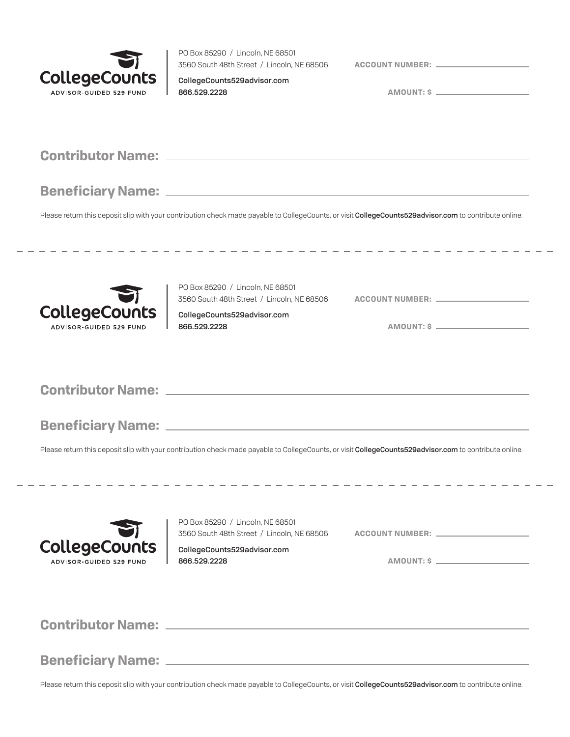

÷

 $\overline{a}$ 

PO Box 85290 / Lincoln, NE 68501 3560 South 48th Street / Lincoln, NE 68506

**ACCOUNT NUMBER:**

CollegeCounts529advisor.com 866.529.2228

**AMOUNT: \$**

|                                                        |                                                                                 | Please return this deposit slip with your contribution check made payable to CollegeCounts, or visit CollegeCounts529advisor.com to contribute online. |
|--------------------------------------------------------|---------------------------------------------------------------------------------|--------------------------------------------------------------------------------------------------------------------------------------------------------|
| <b>CollegeCounts</b><br><b>ADVISOR-GUIDED 529 FUND</b> | PO Box 85290 / Lincoln, NE 68501<br>CollegeCounts529advisor.com<br>866.529.2228 | AMOUNT: \$                                                                                                                                             |
|                                                        |                                                                                 |                                                                                                                                                        |
|                                                        |                                                                                 |                                                                                                                                                        |
|                                                        |                                                                                 | Please return this deposit slip with your contribution check made payable to CollegeCounts, or visit CollegeCounts529advisor.com to contribute online. |
| <b>CollegeCounts</b><br><b>ADVISOR-GUIDED 529 FUND</b> | PO Box 85290 / Lincoln, NE 68501<br>CollegeCounts529advisor.com<br>866.529.2228 | AMOUNT: \$                                                                                                                                             |
|                                                        |                                                                                 |                                                                                                                                                        |
|                                                        |                                                                                 |                                                                                                                                                        |

Please return this deposit slip with your contribution check made payable to CollegeCounts, or visit CollegeCounts529advisor.com to contribute online.